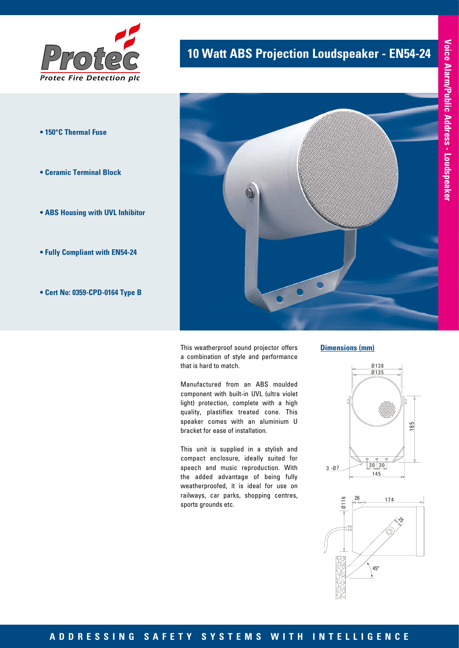

- **150°C Thermal Fuse**
- **Ceramic Terminal Block**
- **ABS Housing with UVL Inhibitor**
- **Fully Compliant with EN54-24**
- **Cert No: 0359-CPD-0164 Type B**

## **10 Watt ABS Projection Loudspeaker - EN54-24**



This weatherproof sound projector offers a combination of style and performance that is hard to match.

Manufactured from an ABS moulded component with built-in UVL (ultra violet light) protection, complete with a high quality, plastiflex treated cone. This speaker comes with an aluminium U bracket for ease of installation.

This unit is supplied in a stylish and compact enclosure, ideally suited for speech and music reproduction. With the added advantage of being fully weatherproofed, it is ideal for use on railways, car parks, shopping centres, sports grounds etc. Ø135

#### **Dimensions (mm)**